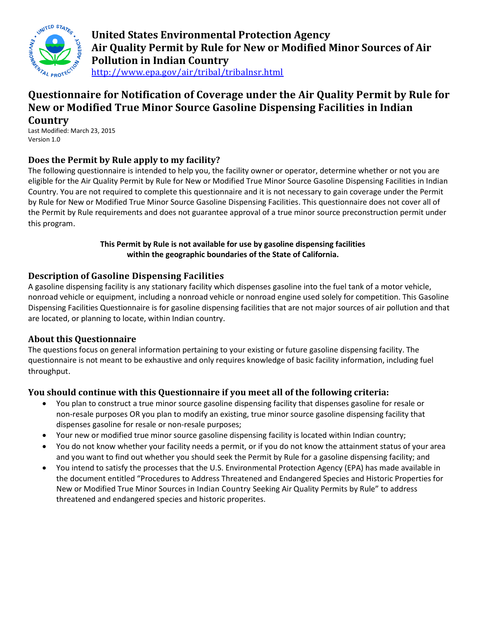

**United States Environmental Protection Agency Air Quality Permit by Rule for New or Modified Minor Sources of Air Pollution in Indian Country** <http://www.epa.gov/air/tribal/tribalnsr.html>

# **Questionnaire for Notification of Coverage under the Air Quality Permit by Rule for New or Modified True Minor Source Gasoline Dispensing Facilities in Indian**

**Country**

Last Modified: March 23, 2015 Version 1.0

# **Does the Permit by Rule apply to my facility?**

The following questionnaire is intended to help you, the facility owner or operator, determine whether or not you are eligible for the Air Quality Permit by Rule for New or Modified True Minor Source Gasoline Dispensing Facilities in Indian Country. You are not required to complete this questionnaire and it is not necessary to gain coverage under the Permit by Rule for New or Modified True Minor Source Gasoline Dispensing Facilities. This questionnaire does not cover all of the Permit by Rule requirements and does not guarantee approval of a true minor source preconstruction permit under this program.

### **This Permit by Rule is not available for use by gasoline dispensing facilities within the geographic boundaries of the State of California.**

### **Description of Gasoline Dispensing Facilities**

A gasoline dispensing facility is any stationary facility which dispenses gasoline into the fuel tank of a motor vehicle, nonroad vehicle or equipment, including a nonroad vehicle or nonroad engine used solely for competition. This Gasoline Dispensing Facilities Questionnaire is for gasoline dispensing facilities that are not major sources of air pollution and that are located, or planning to locate, within Indian country.

### **About this Questionnaire**

The questions focus on general information pertaining to your existing or future gasoline dispensing facility. The questionnaire is not meant to be exhaustive and only requires knowledge of basic facility information, including fuel throughput.

# **You should continue with this Questionnaire if you meet all of the following criteria:**

- You plan to construct a true minor source gasoline dispensing facility that dispenses gasoline for resale or non-resale purposes OR you plan to modify an existing, true minor source gasoline dispensing facility that dispenses gasoline for resale or non-resale purposes;
- Your new or modified true minor source gasoline dispensing facility is located within Indian country;
- You do not know whether your facility needs a permit, or if you do not know the attainment status of your area and you want to find out whether you should seek the Permit by Rule for a gasoline dispensing facility; and
- You intend to satisfy the processes that the U.S. Environmental Protection Agency (EPA) has made available in the document entitled "Procedures to Address Threatened and Endangered Species and Historic Properties for New or Modified True Minor Sources in Indian Country Seeking Air Quality Permits by Rule" to address threatened and endangered species and historic properites.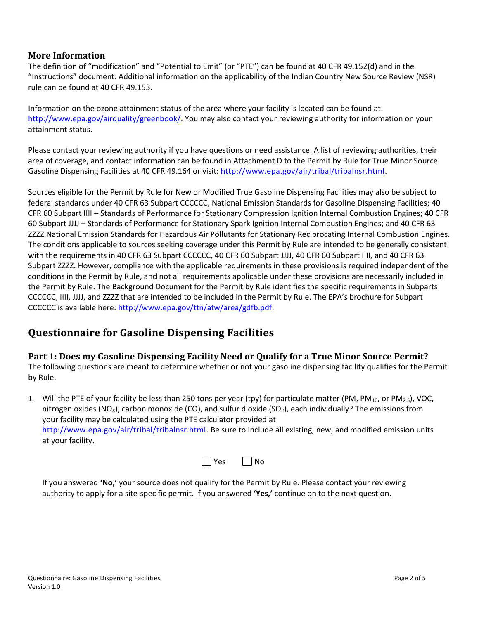#### **More Information**

The definition of "modification" and "Potential to Emit" (or "PTE") can be found at 40 CFR 49.152(d) and in the "Instructions" document. Additional information on the applicability of the Indian Country New Source Review (NSR) rule can be found at 40 CFR 49.153.

Information on the ozone attainment status of the area where your facility is located can be found at: [http://www.epa.gov/airquality/greenbook/.](http://www.epa.gov/airquality/greenbook/) You may also contact your reviewing authority for information on your attainment status.

Please contact your reviewing authority if you have questions or need assistance. A list of reviewing authorities, their area of coverage, and contact information can be found in Attachment D to the Permit by Rule for True Minor Source Gasoline Dispensing Facilities at 40 CFR 49.164 or visit: [http://www.epa.gov/air/tribal/tribalnsr.html.](http://www.epa.gov/air/tribal/tribalnsr.html)

Sources eligible for the Permit by Rule for New or Modified True Gasoline Dispensing Facilities may also be subject to federal standards under 40 CFR 63 Subpart CCCCCC, National Emission Standards for Gasoline Dispensing Facilities; 40 CFR 60 Subpart IIII – Standards of Performance for Stationary Compression Ignition Internal Combustion Engines; 40 CFR 60 Subpart JJJJ – Standards of Performance for Stationary Spark Ignition Internal Combustion Engines; and 40 CFR 63 ZZZZ National Emission Standards for Hazardous Air Pollutants for Stationary Reciprocating Internal Combustion Engines. The conditions applicable to sources seeking coverage under this Permit by Rule are intended to be generally consistent with the requirements in 40 CFR 63 Subpart CCCCCC, 40 CFR 60 Subpart JJJJ, 40 CFR 60 Subpart IIII, and 40 CFR 63 Subpart ZZZZ. However, compliance with the applicable requirements in these provisions is required independent of the conditions in the Permit by Rule, and not all requirements applicable under these provisions are necessarily included in the Permit by Rule. The Background Document for the Permit by Rule identifies the specific requirements in Subparts CCCCCC, IIII, JJJJ, and ZZZZ that are intended to be included in the Permit by Rule. The EPA's brochure for Subpart CCCCCC is available here: [http://www.epa.gov/ttn/atw/area/gdfb.pdf.](http://www.epa.gov/ttn/atw/area/gdfb.pdf)

# **Questionnaire for Gasoline Dispensing Facilities**

**Part 1: Does my Gasoline Dispensing Facility Need or Qualify for a True Minor Source Permit?** The following questions are meant to determine whether or not your gasoline dispensing facility qualifies for the Permit by Rule.

1. Will the PTE of your facility be less than 250 tons per year (tpy) for particulate matter (PM, PM<sub>10</sub>, or PM<sub>2.5</sub>), VOC, nitrogen oxides (NO<sub>x</sub>), carbon monoxide (CO), and sulfur dioxide (SO<sub>2</sub>), each individually? The emissions from your facility may be calculated using the PTE calculator provided at [http://www.epa.gov/air/tribal/tribalnsr.html.](http://www.epa.gov/air/tribal/tribalnsr.html) Be sure to include all existing, new, and modified emission units at your facility.

| ~~ | N٥ |
|----|----|
|----|----|

If you answered **'No,'** your source does not qualify for the Permit by Rule. Please contact your reviewing authority to apply for a site-specific permit. If you answered **'Yes,'** continue on to the next question.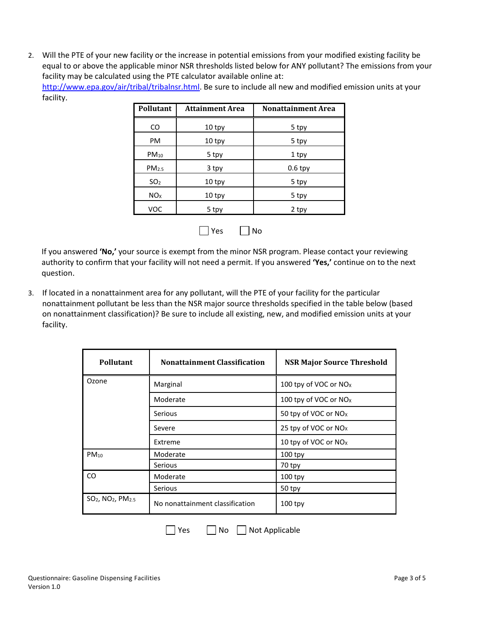2. Will the PTE of your new facility or the increase in potential emissions from your modified existing facility be equal to or above the applicable minor NSR thresholds listed below for ANY pollutant? The emissions from your facility may be calculated using the PTE calculator available online at: [http://www.epa.gov/air/tribal/tribalnsr.html.](http://www.epa.gov/air/tribal/tribalnsr.html) Be sure to include all new and modified emission units at your facility.

| 10 tpy |           |
|--------|-----------|
|        | 5 tpy     |
| 10 tpy | 5 tpy     |
| 5 tpy  | 1 tpy     |
| 3 tpy  | $0.6$ tpy |
| 10 tpy | 5 tpy     |
| 10 tpy | 5 tpy     |
| 5 tpy  | 2 tpy     |
|        |           |



If you answered **'No,'** your source is exempt from the minor NSR program. Please contact your reviewing authority to confirm that your facility will not need a permit. If you answered **'Yes,'** continue on to the next question.

3. If located in a nonattainment area for any pollutant, will the PTE of your facility for the particular nonattainment pollutant be less than the NSR major source thresholds specified in the table below (based on nonattainment classification)? Be sure to include all existing, new, and modified emission units at your facility.

| <b>Pollutant</b>                                      | <b>Nonattainment Classification</b> | <b>NSR Major Source Threshold</b> |
|-------------------------------------------------------|-------------------------------------|-----------------------------------|
| Ozone                                                 | Marginal                            | 100 tpy of VOC or NO <sub>x</sub> |
|                                                       | Moderate                            | 100 tpy of VOC or NO <sub>x</sub> |
|                                                       | <b>Serious</b>                      | 50 tpy of VOC or NO <sub>x</sub>  |
|                                                       | Severe                              | 25 tpy of VOC or NO <sub>x</sub>  |
|                                                       | Extreme                             | 10 tpy of VOC or NO <sub>x</sub>  |
| $PM_{10}$                                             | Moderate                            | $100$ tpy                         |
|                                                       | Serious                             | 70 tpy                            |
| CO.                                                   | Moderate                            | $100$ tpy                         |
|                                                       | Serious                             | 50 tpy                            |
| SO <sub>2</sub> , NO <sub>2</sub> , PM <sub>2.5</sub> | No nonattainment classification     | $100$ tpy                         |

 $\Box$  Yes  $\Box$  No  $\Box$  Not Applicable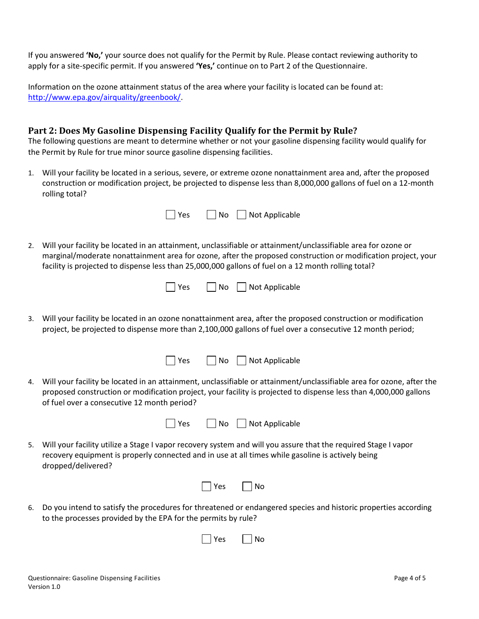If you answered **'No,'** your source does not qualify for the Permit by Rule. Please contact reviewing authority to apply for a site-specific permit. If you answered **'Yes,'** continue on to Part 2 of the Questionnaire.

Information on the ozone attainment status of the area where your facility is located can be found at: [http://www.epa.gov/airquality/greenbook/.](http://www.epa.gov/airquality/greenbook/)

#### **Part 2: Does My Gasoline Dispensing Facility Qualify for the Permit by Rule?**

The following questions are meant to determine whether or not your gasoline dispensing facility would qualify for the Permit by Rule for true minor source gasoline dispensing facilities.

1. Will your facility be located in a serious, severe, or extreme ozone nonattainment area and, after the proposed construction or modification project, be projected to dispense less than 8,000,000 gallons of fuel on a 12-month rolling total?

|    | No<br>Not Applicable<br>Yes                                                                                                                                                                                                                                                                                                           |  |
|----|---------------------------------------------------------------------------------------------------------------------------------------------------------------------------------------------------------------------------------------------------------------------------------------------------------------------------------------|--|
| 2. | Will your facility be located in an attainment, unclassifiable or attainment/unclassifiable area for ozone or<br>marginal/moderate nonattainment area for ozone, after the proposed construction or modification project, your<br>facility is projected to dispense less than 25,000,000 gallons of fuel on a 12 month rolling total? |  |
|    | Yes<br>No<br>Not Applicable                                                                                                                                                                                                                                                                                                           |  |
| 3. | Will your facility be located in an ozone nonattainment area, after the proposed construction or modification<br>project, be projected to dispense more than 2,100,000 gallons of fuel over a consecutive 12 month period;                                                                                                            |  |
|    | Yes<br>No<br>Not Applicable                                                                                                                                                                                                                                                                                                           |  |
| 4. | Will your facility be located in an attainment, unclassifiable or attainment/unclassifiable area for ozone, after the<br>proposed construction or modification project, your facility is projected to dispense less than 4,000,000 gallons<br>of fuel over a consecutive 12 month period?                                             |  |
|    | $ $ No<br>Not Applicable<br>Yes                                                                                                                                                                                                                                                                                                       |  |
| 5. | Will your facility utilize a Stage I vapor recovery system and will you assure that the required Stage I vapor<br>recovery equipment is properly connected and in use at all times while gasoline is actively being<br>dropped/delivered?                                                                                             |  |
|    | Yes<br>No                                                                                                                                                                                                                                                                                                                             |  |
| 6. | Do you intend to satisfy the procedures for threatened or endangered species and historic properties according<br>to the processes provided by the EPA for the permits by rule?                                                                                                                                                       |  |
|    | Yes<br>No                                                                                                                                                                                                                                                                                                                             |  |